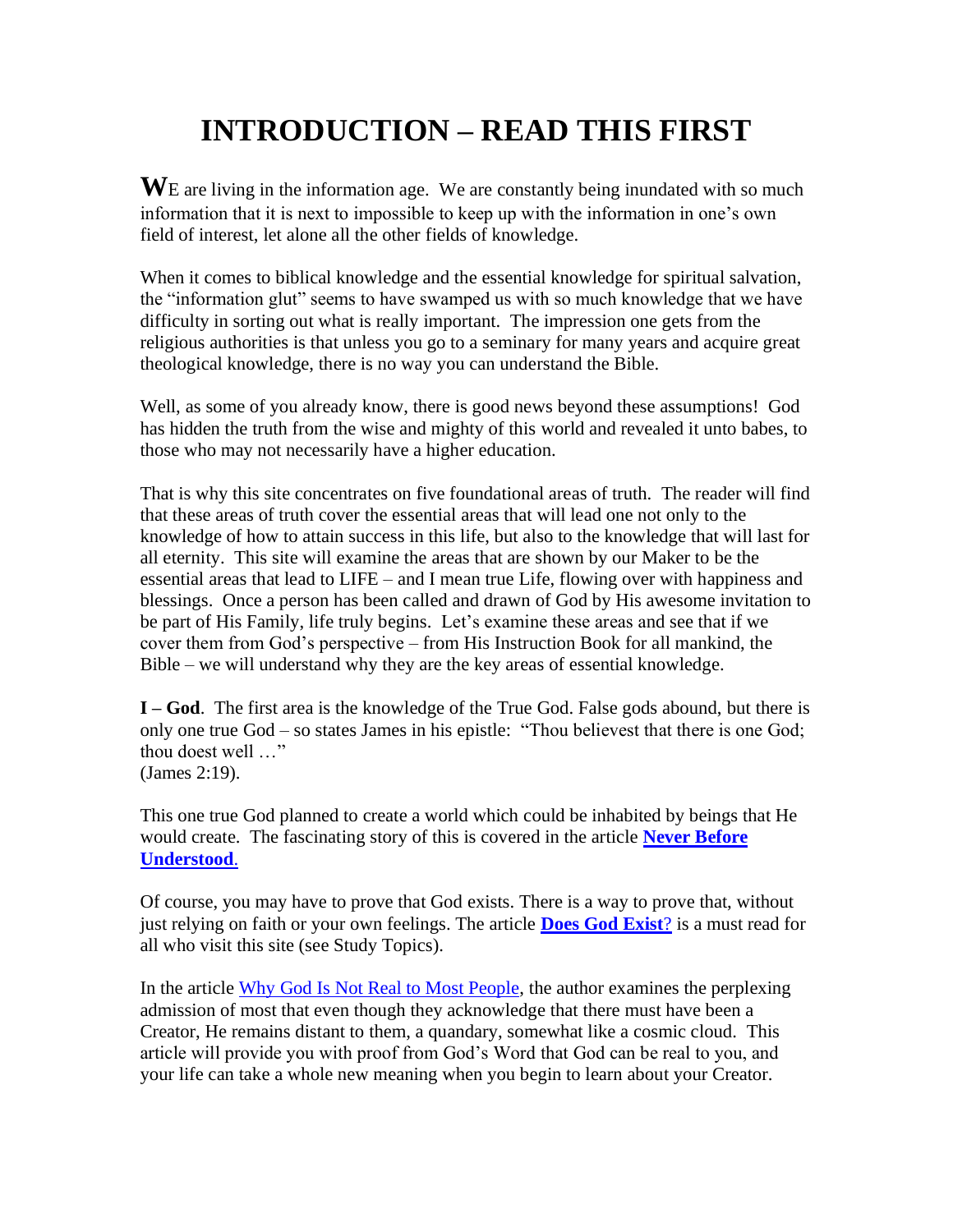## **INTRODUCTION – READ THIS FIRST**

**W**E are living in the information age. We are constantly being inundated with so much information that it is next to impossible to keep up with the information in one's own field of interest, let alone all the other fields of knowledge.

When it comes to biblical knowledge and the essential knowledge for spiritual salvation, the "information glut" seems to have swamped us with so much knowledge that we have difficulty in sorting out what is really important. The impression one gets from the religious authorities is that unless you go to a seminary for many years and acquire great theological knowledge, there is no way you can understand the Bible.

Well, as some of you already know, there is good news beyond these assumptions! God has hidden the truth from the wise and mighty of this world and revealed it unto babes, to those who may not necessarily have a higher education.

That is why this site concentrates on five foundational areas of truth. The reader will find that these areas of truth cover the essential areas that will lead one not only to the knowledge of how to attain success in this life, but also to the knowledge that will last for all eternity. This site will examine the areas that are shown by our Maker to be the essential areas that lead to LIFE – and I mean true Life, flowing over with happiness and blessings. Once a person has been called and drawn of God by His awesome invitation to be part of His Family, life truly begins. Let's examine these areas and see that if we cover them from God's perspective – from His Instruction Book for all mankind, the Bible – we will understand why they are the key areas of essential knowledge.

**I – God**. The first area is the knowledge of the True God. False gods abound, but there is only one true God – so states James in his epistle: "Thou believest that there is one God; thou doest well …" (James 2:19).

This one true God planned to create a world which could be inhabited by beings that He would create. The fascinating story of this is covered in the article **[Never Before](https://www.thebiblefund.com/_files/ugd/075cae_11497c0a1daf47ecb7652caa7c18e453.pdf)  [Understood](https://www.thebiblefund.com/_files/ugd/075cae_11497c0a1daf47ecb7652caa7c18e453.pdf)**.

Of course, you may have to prove that God exists. There is a way to prove that, without just relying on faith or your own feelings. The article **[Does God Exist](https://www.thebiblefund.com/_files/ugd/075cae_297bce761fa4416dbf3d9e0310590b1b.pdf)**? is a must read for all who visit this site (see Study Topics).

In the article [Why God Is Not Real to Most People,](https://www.thebiblefund.com/_files/ugd/075cae_af490cc9f11c459986448b37b2452b86.pdf) the author examines the perplexing admission of most that even though they acknowledge that there must have been a Creator, He remains distant to them, a quandary, somewhat like a cosmic cloud. This article will provide you with proof from God's Word that God can be real to you, and your life can take a whole new meaning when you begin to learn about your Creator.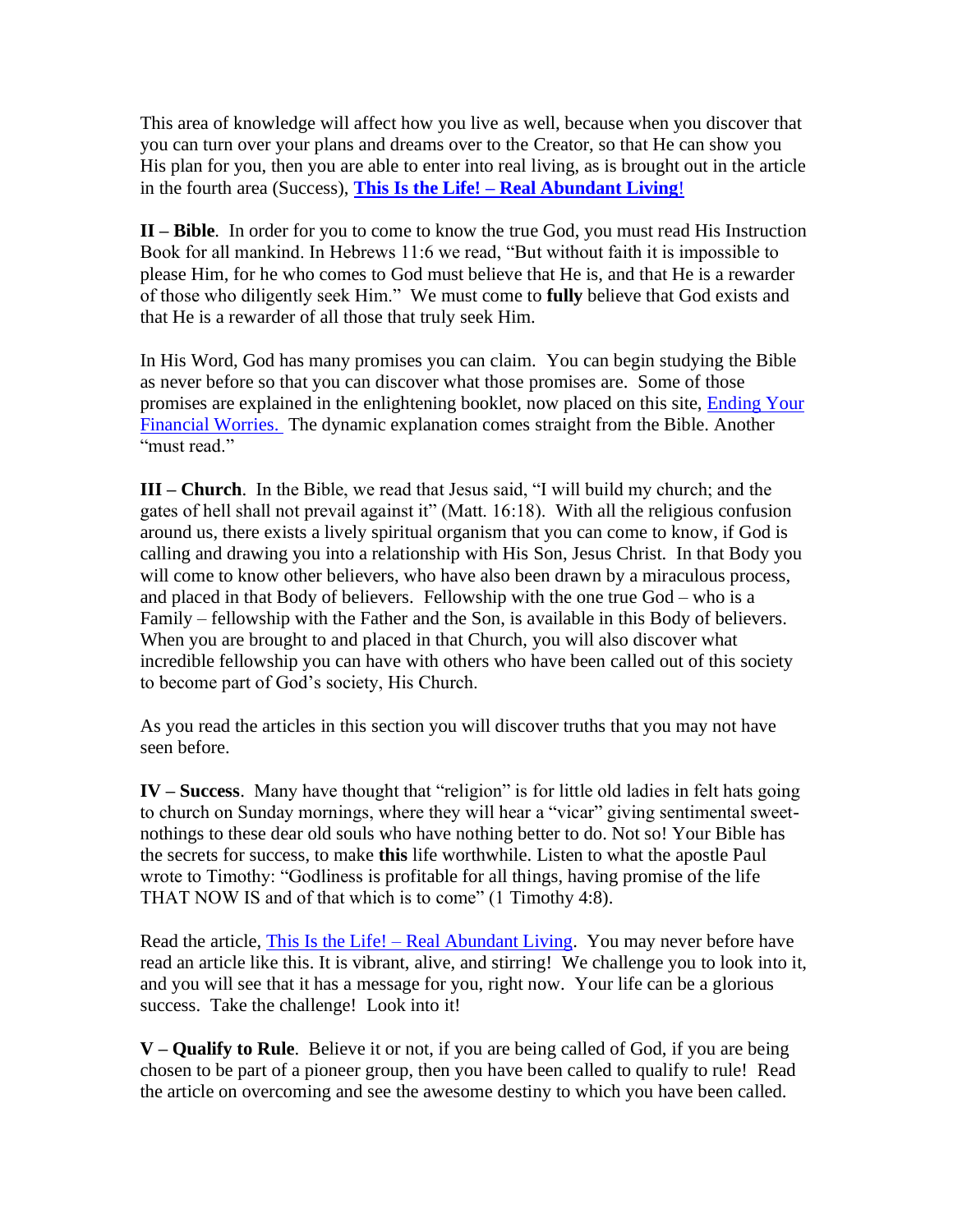This area of knowledge will affect how you live as well, because when you discover that you can turn over your plans and dreams over to the Creator, so that He can show you His plan for you, then you are able to enter into real living, as is brought out in the article in the fourth area (Success), **This Is the Life! – [Real Abundant Living](https://www.thebiblefund.com/_files/ugd/075cae_1b88df594c104d339b6ca8f52d7a39e3.pdf)**!

**II – Bible**. In order for you to come to know the true God, you must read His Instruction Book for all mankind. In Hebrews 11:6 we read, "But without faith it is impossible to please Him, for he who comes to God must believe that He is, and that He is a rewarder of those who diligently seek Him." We must come to **fully** believe that God exists and that He is a rewarder of all those that truly seek Him.

In His Word, God has many promises you can claim. You can begin studying the Bible as never before so that you can discover what those promises are. Some of those promises are explained in the enlightening booklet, now placed on this site, [Ending Your](https://www.thebiblefund.com/_files/ugd/075cae_e51406fc97ee4d748937e1e2cc15f1dc.pdf)  [Financial Worries.](https://www.thebiblefund.com/_files/ugd/075cae_e51406fc97ee4d748937e1e2cc15f1dc.pdf) The dynamic explanation comes straight from the Bible. Another "must read."

**III – Church**. In the Bible, we read that Jesus said, "I will build my church; and the gates of hell shall not prevail against it" (Matt. 16:18). With all the religious confusion around us, there exists a lively spiritual organism that you can come to know, if God is calling and drawing you into a relationship with His Son, Jesus Christ. In that Body you will come to know other believers, who have also been drawn by a miraculous process, and placed in that Body of believers. Fellowship with the one true  $God - who$  is a Family – fellowship with the Father and the Son, is available in this Body of believers. When you are brought to and placed in that Church, you will also discover what incredible fellowship you can have with others who have been called out of this society to become part of God's society, His Church.

As you read the articles in this section you will discover truths that you may not have seen before.

**IV – Success**. Many have thought that "religion" is for little old ladies in felt hats going to church on Sunday mornings, where they will hear a "vicar" giving sentimental sweetnothings to these dear old souls who have nothing better to do. Not so! Your Bible has the secrets for success, to make **this** life worthwhile. Listen to what the apostle Paul wrote to Timothy: "Godliness is profitable for all things, having promise of the life THAT NOW IS and of that which is to come" (1 Timothy 4:8).

Read the article, This Is the Life! – [Real Abundant Living.](https://www.thebiblefund.com/_files/ugd/075cae_1b88df594c104d339b6ca8f52d7a39e3.pdf) You may never before have read an article like this. It is vibrant, alive, and stirring! We challenge you to look into it, and you will see that it has a message for you, right now. Your life can be a glorious success. Take the challenge! Look into it!

**V – Qualify to Rule**. Believe it or not, if you are being called of God, if you are being chosen to be part of a pioneer group, then you have been called to qualify to rule! Read the article on overcoming and see the awesome destiny to which you have been called.